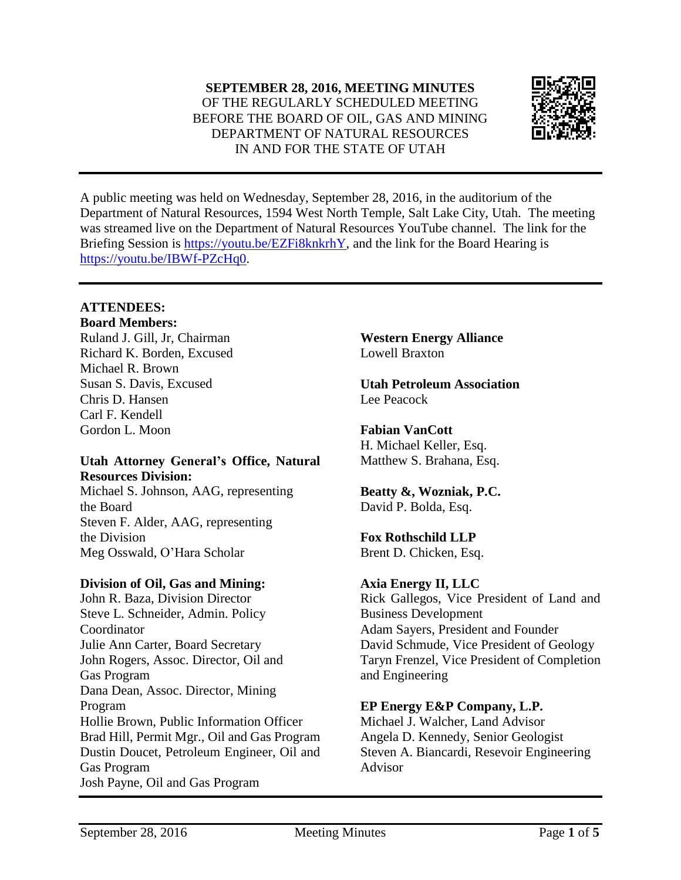**SEPTEMBER 28, 2016, MEETING MINUTES** OF THE REGULARLY SCHEDULED MEETING BEFORE THE BOARD OF OIL, GAS AND MINING DEPARTMENT OF NATURAL RESOURCES IN AND FOR THE STATE OF UTAH



A public meeting was held on Wednesday, September 28, 2016, in the auditorium of the Department of Natural Resources, 1594 West North Temple, Salt Lake City, Utah. The meeting was streamed live on the Department of Natural Resources YouTube channel. The link for the Briefing Session is [https://youtu.be/EZFi8knkrhY,](https://youtu.be/EZFi8knkrhY) and the link for the Board Hearing is [https://youtu.be/IBWf-PZcHq0.](https://youtu.be/IBWf-PZcHq0)

## **ATTENDEES:**

**Board Members:** Ruland J. Gill, Jr, Chairman

Richard K. Borden, Excused Michael R. Brown Susan S. Davis, Excused Chris D. Hansen Carl F. Kendell Gordon L. Moon

## **Utah Attorney General's Office, Natural Resources Division:**

Michael S. Johnson, AAG, representing the Board Steven F. Alder, AAG, representing the Division Meg Osswald, O'Hara Scholar

#### **Division of Oil, Gas and Mining:**

John R. Baza, Division Director Steve L. Schneider, Admin. Policy Coordinator Julie Ann Carter, Board Secretary John Rogers, Assoc. Director, Oil and Gas Program Dana Dean, Assoc. Director, Mining Program Hollie Brown, Public Information Officer Brad Hill, Permit Mgr., Oil and Gas Program Dustin Doucet, Petroleum Engineer, Oil and Gas Program Josh Payne, Oil and Gas Program

**Western Energy Alliance** Lowell Braxton

**Utah Petroleum Association** Lee Peacock

**Fabian VanCott** H. Michael Keller, Esq. Matthew S. Brahana, Esq.

**Beatty &, Wozniak, P.C.** David P. Bolda, Esq.

# **Fox Rothschild LLP**

Brent D. Chicken, Esq.

# **Axia Energy II, LLC**

Rick Gallegos, Vice President of Land and Business Development Adam Sayers, President and Founder David Schmude, Vice President of Geology Taryn Frenzel, Vice President of Completion and Engineering

# **EP Energy E&P Company, L.P.**

Michael J. Walcher, Land Advisor Angela D. Kennedy, Senior Geologist Steven A. Biancardi, Resevoir Engineering Advisor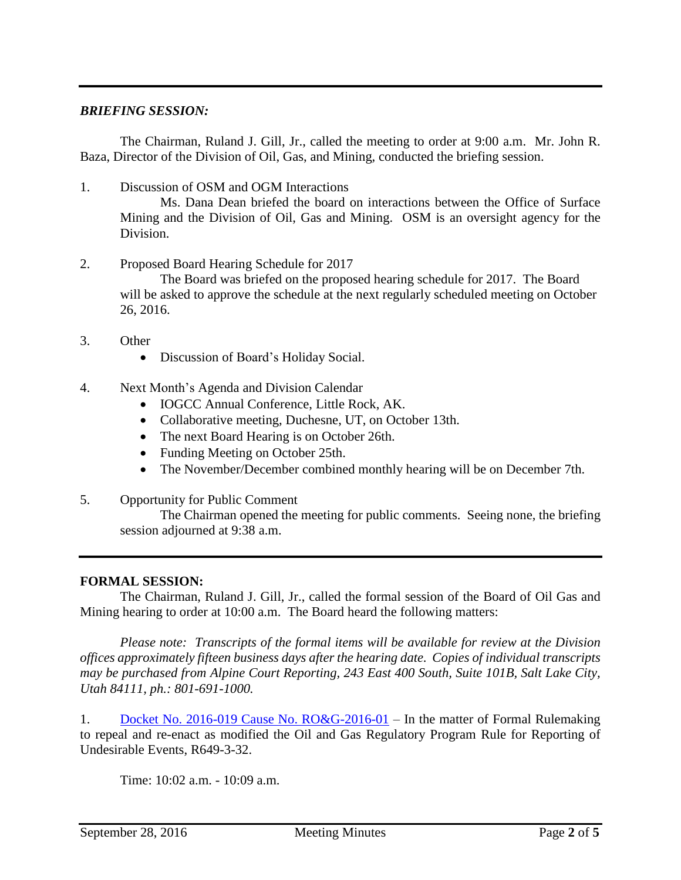## *BRIEFING SESSION:*

The Chairman, Ruland J. Gill, Jr., called the meeting to order at 9:00 a.m. Mr. John R. Baza, Director of the Division of Oil, Gas, and Mining, conducted the briefing session.

1. Discussion of OSM and OGM Interactions

Ms. Dana Dean briefed the board on interactions between the Office of Surface Mining and the Division of Oil, Gas and Mining. OSM is an oversight agency for the Division.

2. Proposed Board Hearing Schedule for 2017

The Board was briefed on the proposed hearing schedule for 2017. The Board will be asked to approve the schedule at the next regularly scheduled meeting on October 26, 2016.

- 3. Other
	- Discussion of Board's Holiday Social.
- 4. Next Month's Agenda and Division Calendar
	- IOGCC Annual Conference, Little Rock, AK.
	- Collaborative meeting, Duchesne, UT, on October 13th.
	- The next Board Hearing is on October 26th.
	- Funding Meeting on October 25th.
	- The November/December combined monthly hearing will be on December 7th.
- 5. Opportunity for Public Comment

The Chairman opened the meeting for public comments. Seeing none, the briefing session adjourned at 9:38 a.m.

#### **FORMAL SESSION:**

The Chairman, Ruland J. Gill, Jr., called the formal session of the Board of Oil Gas and Mining hearing to order at 10:00 a.m. The Board heard the following matters:

*Please note: Transcripts of the formal items will be available for review at the Division offices approximately fifteen business days after the hearing date. Copies of individual transcripts may be purchased from Alpine Court Reporting, 243 East 400 South, Suite 101B, Salt Lake City, Utah 84111, ph.: 801-691-1000.*

1. Docket No. 2016-019 Cause No. [RO&G-2016-01](http://ogm.utah.gov/amr/boardtemp/redesign/2016/09_Sep/Dockets/2016-019_ROG-2016-01_Rulemaking.php) – In the matter of Formal Rulemaking to repeal and re-enact as modified the Oil and Gas Regulatory Program Rule for Reporting of Undesirable Events, R649-3-32.

Time: 10:02 a.m. - 10:09 a.m.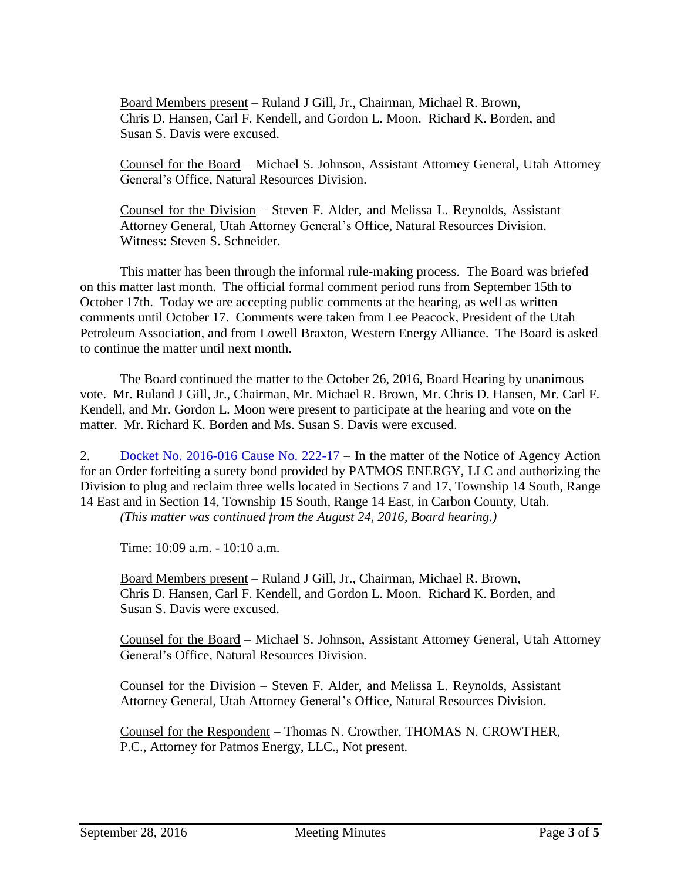Board Members present – Ruland J Gill, Jr., Chairman, Michael R. Brown, Chris D. Hansen, Carl F. Kendell, and Gordon L. Moon. Richard K. Borden, and Susan S. Davis were excused.

Counsel for the Board – Michael S. Johnson, Assistant Attorney General, Utah Attorney General's Office, Natural Resources Division.

Counsel for the Division – Steven F. Alder, and Melissa L. Reynolds, Assistant Attorney General, Utah Attorney General's Office, Natural Resources Division. Witness: Steven S. Schneider.

This matter has been through the informal rule-making process. The Board was briefed on this matter last month. The official formal comment period runs from September 15th to October 17th. Today we are accepting public comments at the hearing, as well as written comments until October 17. Comments were taken from Lee Peacock, President of the Utah Petroleum Association, and from Lowell Braxton, Western Energy Alliance. The Board is asked to continue the matter until next month.

The Board continued the matter to the October 26, 2016, Board Hearing by unanimous vote. Mr. Ruland J Gill, Jr., Chairman, Mr. Michael R. Brown, Mr. Chris D. Hansen, Mr. Carl F. Kendell, and Mr. Gordon L. Moon were present to participate at the hearing and vote on the matter. Mr. Richard K. Borden and Ms. Susan S. Davis were excused.

2. Docket No. [2016-016](http://ogm.utah.gov/amr/boardtemp/redesign/2016/09_Sep/Dockets/2016-016_222-17_Patmos.php) Cause No. 222-17 – In the matter of the Notice of Agency Action for an Order forfeiting a surety bond provided by PATMOS ENERGY, LLC and authorizing the Division to plug and reclaim three wells located in Sections 7 and 17, Township 14 South, Range 14 East and in Section 14, Township 15 South, Range 14 East, in Carbon County, Utah.

*(This matter was continued from the August 24, 2016, Board hearing.)*

Time: 10:09 a.m. - 10:10 a.m.

Board Members present – Ruland J Gill, Jr., Chairman, Michael R. Brown, Chris D. Hansen, Carl F. Kendell, and Gordon L. Moon. Richard K. Borden, and Susan S. Davis were excused.

Counsel for the Board – Michael S. Johnson, Assistant Attorney General, Utah Attorney General's Office, Natural Resources Division.

Counsel for the Division – Steven F. Alder, and Melissa L. Reynolds, Assistant Attorney General, Utah Attorney General's Office, Natural Resources Division.

Counsel for the Respondent – Thomas N. Crowther, THOMAS N. CROWTHER, P.C., Attorney for Patmos Energy, LLC., Not present.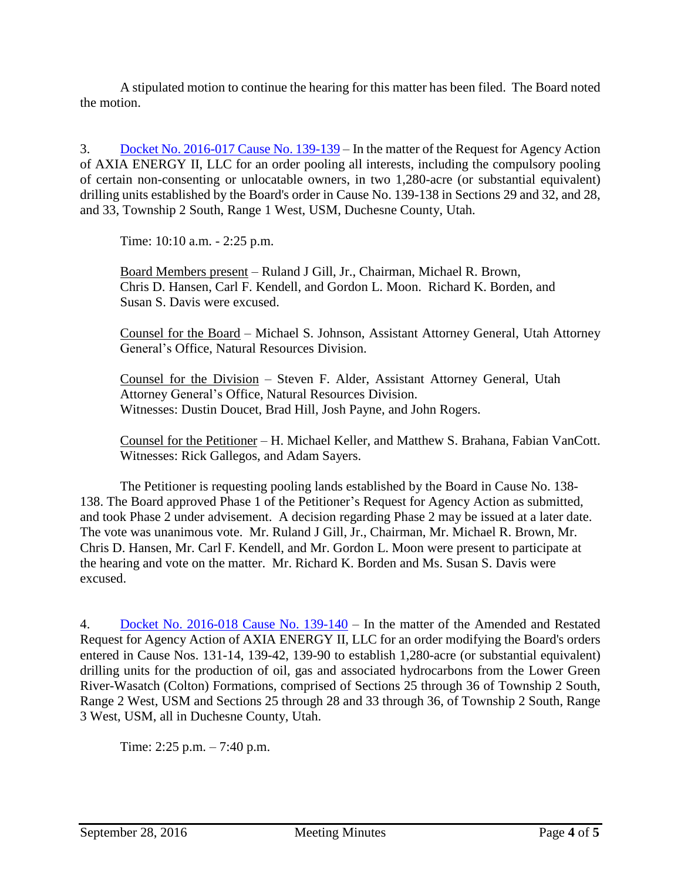A stipulated motion to continue the hearing for this matter has been filed. The Board noted the motion.

3. Docket No. [2016-017](http://ogm.utah.gov/amr/boardtemp/redesign/2016/09_Sep/Dockets/2016-017_139-139_Axia.php) Cause No. 139-139 – In the matter of the Request for Agency Action of AXIA ENERGY II, LLC for an order pooling all interests, including the compulsory pooling of certain non-consenting or unlocatable owners, in two 1,280-acre (or substantial equivalent) drilling units established by the Board's order in Cause No. 139-138 in Sections 29 and 32, and 28, and 33, Township 2 South, Range 1 West, USM, Duchesne County, Utah.

Time: 10:10 a.m. - 2:25 p.m.

Board Members present – Ruland J Gill, Jr., Chairman, Michael R. Brown, Chris D. Hansen, Carl F. Kendell, and Gordon L. Moon. Richard K. Borden, and Susan S. Davis were excused.

Counsel for the Board – Michael S. Johnson, Assistant Attorney General, Utah Attorney General's Office, Natural Resources Division.

Counsel for the Division – Steven F. Alder, Assistant Attorney General, Utah Attorney General's Office, Natural Resources Division. Witnesses: Dustin Doucet, Brad Hill, Josh Payne, and John Rogers.

Counsel for the Petitioner – H. Michael Keller, and Matthew S. Brahana, Fabian VanCott. Witnesses: Rick Gallegos, and Adam Sayers.

The Petitioner is requesting pooling lands established by the Board in Cause No. 138- 138. The Board approved Phase 1 of the Petitioner's Request for Agency Action as submitted, and took Phase 2 under advisement. A decision regarding Phase 2 may be issued at a later date. The vote was unanimous vote. Mr. Ruland J Gill, Jr., Chairman, Mr. Michael R. Brown, Mr. Chris D. Hansen, Mr. Carl F. Kendell, and Mr. Gordon L. Moon were present to participate at the hearing and vote on the matter. Mr. Richard K. Borden and Ms. Susan S. Davis were excused.

4. Docket No. [2016-018](http://ogm.utah.gov/amr/boardtemp/redesign/2016/09_Sep/Dockets/2016-018_139-140_Axia.php) Cause No. 139-140 – In the matter of the Amended and Restated Request for Agency Action of AXIA ENERGY II, LLC for an order modifying the Board's orders entered in Cause Nos. 131-14, 139-42, 139-90 to establish 1,280-acre (or substantial equivalent) drilling units for the production of oil, gas and associated hydrocarbons from the Lower Green River-Wasatch (Colton) Formations, comprised of Sections 25 through 36 of Township 2 South, Range 2 West, USM and Sections 25 through 28 and 33 through 36, of Township 2 South, Range 3 West, USM, all in Duchesne County, Utah.

Time: 2:25 p.m. – 7:40 p.m.